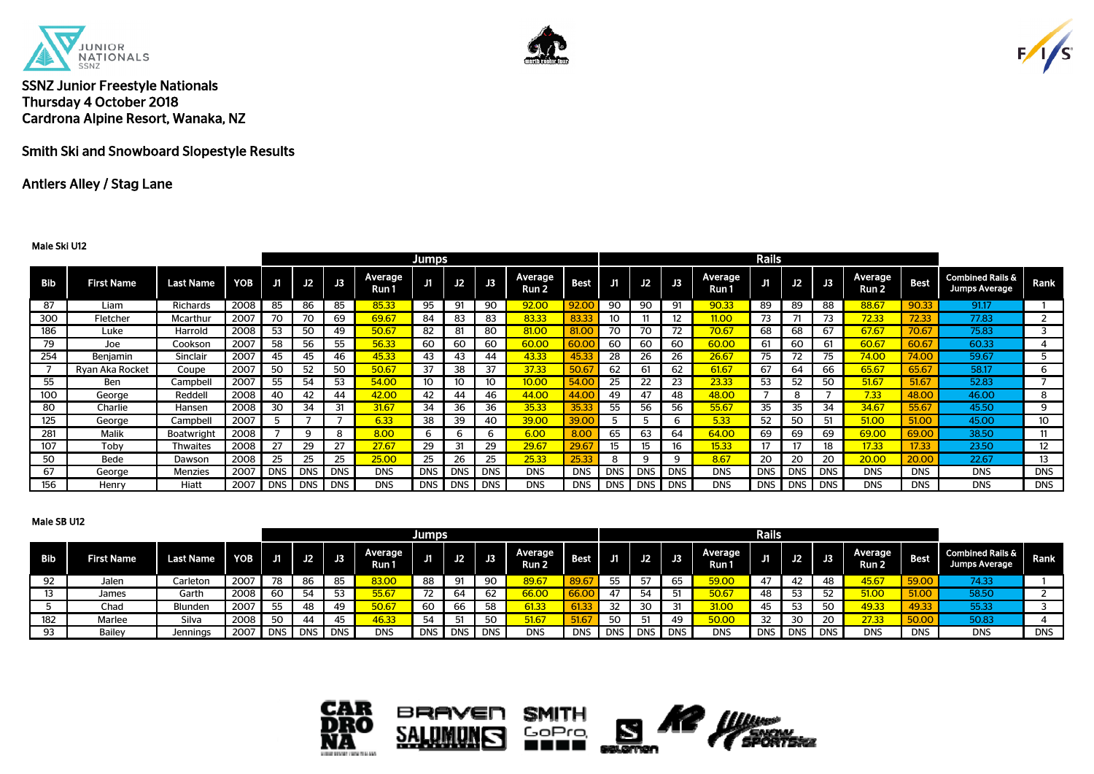





Smith Ski and Snowboard Slopestyle Results

## Antlers Alley / Stag Lane

#### Male Ski U12

| <b>Jumps</b> |                   |                   |            |            |            |            |                  |            |            |            |                             |             |            |            |                | <b>Rails</b>     |       |            |            |                  |              |                                              |            |
|--------------|-------------------|-------------------|------------|------------|------------|------------|------------------|------------|------------|------------|-----------------------------|-------------|------------|------------|----------------|------------------|-------|------------|------------|------------------|--------------|----------------------------------------------|------------|
| <b>Bib</b>   | <b>First Name</b> | <b>Last Name</b>  | <b>YOB</b> | J1         | J2         | J3         | Average<br>Run 1 | J1         | J2         | JЗ         | Average<br>Run <sub>2</sub> | <b>Best</b> | Æ          | J2         |                | Average<br>Run 1 | J1    | J2         | J3         | Average<br>Run 2 | <b>Best</b>  | <b>Combined Rails &amp;</b><br>Jumps Average | Rank       |
| 87           | Liam              | Richards          | 2008       | 85         | 86         | 85         | 85.33            | 95         | 91         | 90         | 92.00                       | 92.00       | 90         | 90         | Q <sub>1</sub> | 90.33            | 89    | 89         | 88         | 88.67            | 90.33        | 91.17                                        |            |
| 300          | Fletcher          | Mcarthur          | 2007       | 70         | 70         | 69         | 69.67            | 84         | 83         | 83         | 83.33                       | 83.33       | 10         |            |                | 11.00            | 73    |            |            | 72.33            | 72.33        | 77.83                                        |            |
| 186          | Luke              | Harrold           | 2008       | 53         | 50         | 49         | 50.67            | 82         | 81         | 80         | 81.00                       | 81.0        | 70         | 70         |                | 70.67            | 68    | 68         | 67         | 67.67            | 70.6         | 75.83                                        |            |
| 79           | Joe               | Cookson           | 2007       | 58         | 56         | 55         | 56.33            | 60         | 60         | 60         | 60.00                       | 60.0        | 60         | 60         | 60             | 60.00            | 61    | 60         | 61         | 60.67            | 60.6         | 60.33                                        | 4          |
| 254          | Benjamin          | Sinclair          | 2007       | 45         | 45         | 46         | 45.33            | 43         | 43         | 44         | 43.33                       | 45.33       | 28         | 26         | 26             | 26.67            | 75    | 72         | 75         | 74.00            | 74.OC        | 59.67                                        | ь          |
|              | Rvan Aka Rocket   | Coupe             | 2007       | 50         | 52         | 50         | 50.67            | 37         | 38         | 37         | 37.33                       | 50.67       | 62         |            | 62             | 61.67            | 67    | 64         | 66         | 65.67            | 65.67        | 58.17                                        | 6          |
| 55           | Ben               | Campbel           | 2007       | 55         | 54         | 53         | 54.00            | 10         | 10         | 10         | 10.00                       | 54.00       | 25         | 22         | 23             | 23.33            | 53    | 52         | 50         | 51.67            | 51.67        | 52.83                                        |            |
| 100          | George            | Reddell           | 2008       | 40         | 42         | 44         | 42.00            | 42         | 44         | 46         | 44.00                       | 44.00       | 49         | 47         | 48             | 48.00            |       | 8          |            | 7.33             | 48.00        | 46.00                                        | 8          |
| 80           | Charlie           | Hansen            | 2008       | 30         | 34         | 31         | 31.67            | 34         | 36         | 36         | 35.33                       | 35.33       | 55         | 56         | 56             | 55.67            | 35    | 35         | 34         | 34.67            | 55.67        | 45.50                                        | 9          |
| 125          | George            | Campbell          | 2007       |            |            |            | 6.33             | 38         | 39         | 40         | 39.00                       | 39.00       | כ          |            |                | 5.33             | 52    | 50         | 51         | 51.00            | <b>51.00</b> | 45.00                                        | 10         |
| 281          | Malik             | <b>Boatwright</b> | 2008       |            | 9          | 8          | 8.00             |            |            | 6          | 6.00                        | 8.00        | 65         | 63         | 64             | 64.00            | 69    | 69         | 69         | 69.00            | 69.00        | 38.50                                        | 11         |
| 107          | Toby              | <b>Thwaites</b>   | 2008       |            | 29         | 27         | 27.67            | 29         | 31         | 29         | 29.67                       | 29.67       | 15         | 15         | 16             | 15.33            | 17    |            | 18         | 17.33            | 17.33        | 23.50                                        | 12         |
| 50           | Bede              | Dawson            | 2008       | 25         | 25         | 25         | 25.00            | 25         | 26         | 25         | 25.33                       | 25.33       | 8          |            |                | 8.67             | 20    | 20         | 20         | 20.00            | 20.00        | 22.67                                        | 13         |
| 67           | George            | <b>Menzies</b>    | 2007       | <b>DNS</b> | <b>DNS</b> | <b>DNS</b> | <b>DNS</b>       | <b>DNS</b> | <b>DNS</b> | <b>DNS</b> | <b>DNS</b>                  | <b>DNS</b>  | <b>DNS</b> | <b>DNS</b> | <b>DNS</b>     | <b>DNS</b>       | DNS I | <b>DNS</b> | <b>DNS</b> | <b>DNS</b>       | <b>DNS</b>   | <b>DNS</b>                                   | <b>DNS</b> |
| 156          | Henry             | Hiatt             | 2007       | <b>DNS</b> | DNS        | <b>DNS</b> | <b>DNS</b>       | <b>DNS</b> | <b>DNS</b> | <b>DNS</b> | <b>DNS</b>                  | <b>DNS</b>  | <b>DNS</b> | <b>DNS</b> | <b>DNS</b>     | <b>DNS</b>       | DNS I | <b>DNS</b> | <b>DNS</b> | <b>DNS</b>       | <b>DNS</b>   | <b>DNS</b>                                   | <b>DNS</b> |

#### Male SB U12

|     |                   | <b>Jumps</b>     |            |           |            |                 |                         |            |            |            |                  |            |            |      |            |                  | Rails      |            |            |                               |            |                                                     |            |
|-----|-------------------|------------------|------------|-----------|------------|-----------------|-------------------------|------------|------------|------------|------------------|------------|------------|------|------------|------------------|------------|------------|------------|-------------------------------|------------|-----------------------------------------------------|------------|
| Bib | <b>First Name</b> | <b>Last Name</b> | <b>YOB</b> | <b>J1</b> | J2         | $\overline{13}$ | <b>Average</b><br>Run 1 | .          | J2         | J3         | Average<br>Run 2 | Best       | J1         | J2.  | JB.        | Average<br>Run 1 | Ji         | J2         | J3         | Average  <br>Run <sub>2</sub> | Best       | <b>Combined Rails &amp;</b><br><b>Jumps Average</b> | Rank       |
| 92  | Jalen             | Carleton         | 2007       | 78        | 86         | 85              | 83.00                   | 88         | 91         | 90         | 89.67            | 89.67      | 55         | 57   | 65         | 59.00            | 47         | 42         | 48         | 45.67                         | 59.00      | 74.33                                               |            |
| 13  | James             | Garth            | 2008       | 60        | 54         | 53              | 55.67                   |            | 64         | 62         | 66.OC            |            | 47         | - 54 |            | 50.67            | 48         | 53         |            | 51.00                         | 51.00      | 58.50                                               |            |
|     | Chad              | Blunden          | 2007       | ᄄ         | 48         | 49              | 50.67                   | 60         | 66         | 58         | 61.33            |            | 32         |      |            | 31.00            |            | 53         | - 50       | 49.33                         | 49.33      | 55.33                                               |            |
| 182 | Marlee            | Silva            | 2008       | 50        | 44         | 45              | 46.33                   | 54         | 51         | 50         | 51.67            | 51.67      | 50         | Б1   | 49         | 50.00            | 32         | 30         | 20         | 27.33                         | 50.00      | 50.83                                               |            |
| 93  | Bailey            | Jennings         | 2007       | DNS I     | <b>DNS</b> | <b>DNS</b>      | <b>DNS</b>              | <b>DNS</b> | <b>DNS</b> | <b>DNS</b> | <b>DNS</b>       | <b>DNS</b> | <b>DNS</b> | DNS  | <b>DNS</b> | <b>DNS</b>       | <b>DNS</b> | <b>DNS</b> | <b>DNS</b> | <b>DNS</b>                    | <b>DNS</b> | <b>DNS</b>                                          | <b>DNS</b> |

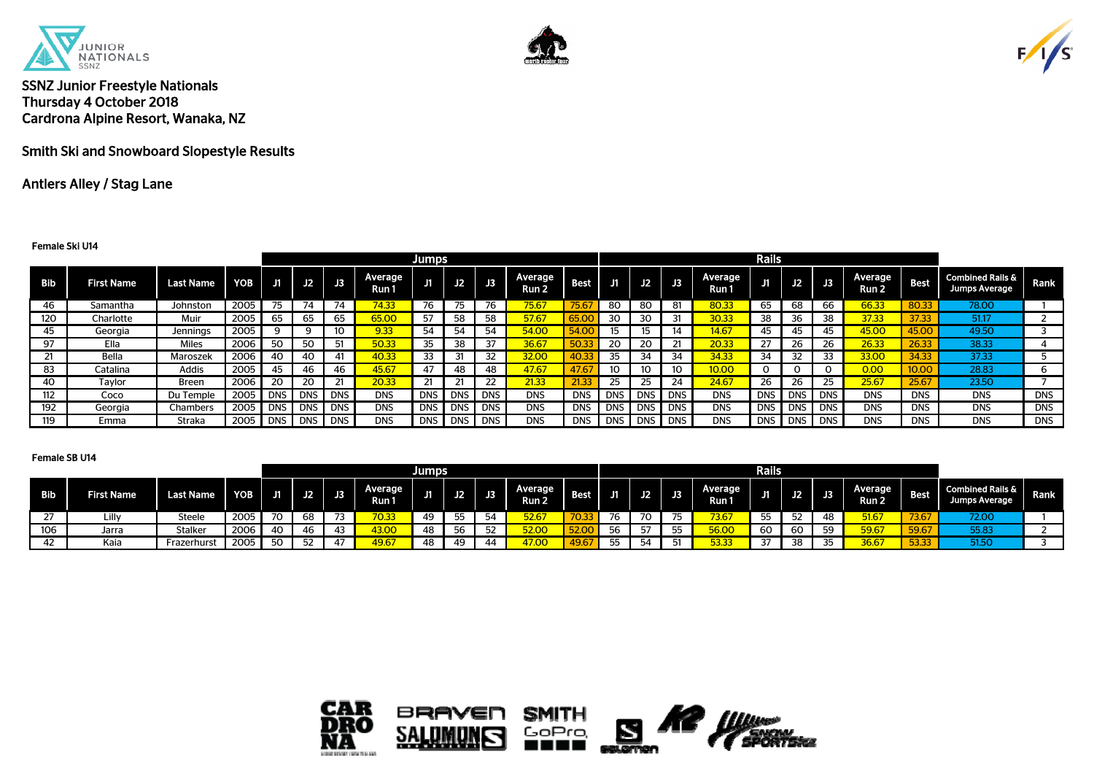





Smith Ski and Snowboard Slopestyle Results

## Antlers Alley / Stag Lane

#### Female Ski U14

|     |                   |                  |      |            |            |            |                  | <b>Jumps</b> |            |            |                  |             |            |            |            |                  | Rails        |            |            |                  |             |                                              |            |
|-----|-------------------|------------------|------|------------|------------|------------|------------------|--------------|------------|------------|------------------|-------------|------------|------------|------------|------------------|--------------|------------|------------|------------------|-------------|----------------------------------------------|------------|
| Bib | <b>First Name</b> | <b>Last Name</b> | YOB  | J1         | J2         | J3         | Average<br>Run 1 | J1           | J2         | JЗ         | Average<br>Run 2 | <b>Best</b> |            | J2         | J3         | Average<br>Run 1 | J1           | J2         | J3         | Average<br>Run 2 | <b>Best</b> | <b>Combined Rails &amp;</b><br>Jumps Average | Rank       |
| 46  | Samantha          | Johnston         | 2005 |            | 74         |            | 74.33            | 76           | 75         |            | 75.67            | 75.67       | 80         | 80         |            | 80.33            | 65           | 68         | 66         | 66.33            | 80.33       | 78.00                                        |            |
| 120 | Charlotte         | Muir             | 2005 | 65         | 65         | 65         | 65.00            | 57           | 58         | 58         | 57.67            |             | 30         | 30         |            | 30.33            | 38           | 36         | 38         | 37.33            | 37.33       | 51.17                                        |            |
| 45  | Georgia           | Jennings         | 2005 | q          | 9          |            | 9.33             | 54           | 54         | 54         | 54.00            |             | 15         |            |            | 14.67            | 45           | 45         | 45         | 45.00            | 45.00       | 49.50                                        |            |
| 97  | Ella              | <b>Miles</b>     | 2006 | 50         | 50         | 51         | 50.33            | 35           |            |            | 36.67            | 50.3        | 20         | 20         |            | 20.33            | 27           | 26         | 26         | 26.33            | 26.33       | 38.33                                        |            |
| 21  | Bella             | Maroszek         | 2006 | 40         | 40         | 41         | 40.33            | 33           |            | 32         | 32.00            |             | 35         | 34         | 34         | 34.33            | 34           | 32         | 33         | 33.OC            | 34.33       | 37.33                                        |            |
| 83  | Catalina          | Addis            | 2005 | 45         | 46         | 46         | 45.67            | 47           | 48         | 48         | 47.67            | 47.67       | 10         |            |            | 10.00            | $\mathbf{O}$ | O          |            | 0.00             | 10.00       | 28.83                                        | ь          |
| 40  | Tavlor            | Breen            | 2006 | 20         | 20         | 21         | 20.33            |              |            |            | 21.33            | 21.33       | 25         |            | 24         | 24.67            | 26           | 26         |            | 25.67            | 25.67       | 23.50                                        |            |
| 112 | Coco              | Du Temple        | 2005 |            | DNS DNS    | <b>DNS</b> | <b>DNS</b>       | DNS          | <b>DNS</b> | <b>DNS</b> | <b>DNS</b>       | <b>DNS</b>  | <b>DNS</b> | <b>DNS</b> | <b>DNS</b> | <b>DNS</b>       | <b>DNS</b>   | DNS        | <b>DNS</b> | <b>DNS</b>       | <b>DNS</b>  | <b>DNS</b>                                   | <b>DNS</b> |
| 192 | Georgia           | Chambers         | 2005 | <b>DNS</b> | <b>DNS</b> | <b>DNS</b> | <b>DNS</b>       | <b>DNS</b>   | <b>DNS</b> | <b>DNS</b> | <b>DNS</b>       | <b>DNS</b>  | <b>DNS</b> | <b>DNS</b> | <b>DNS</b> | <b>DNS</b>       | <b>DNS</b>   | <b>DNS</b> | <b>DNS</b> | <b>DNS</b>       | <b>DNS</b>  | <b>DNS</b>                                   | <b>DNS</b> |
| 119 | Emma              | Straka           | 2005 |            | DNS DNS    | DNS        | <b>DNS</b>       | <b>DNS</b>   | <b>DNS</b> | <b>DNS</b> | <b>DNS</b>       | <b>DNS</b>  | <b>DNS</b> | <b>DNS</b> | <b>DNS</b> | <b>DNS</b>       | <b>DNS</b>   | DNS        | DNS        | <b>DNS</b>       | <b>DNS</b>  | <b>DNS</b>                                   | <b>DNS</b> |

|                      |                   |                  |            |     |    |     |                  | <b>Jumps</b> |                 |    |                         |             |    |             |    |                        | <b>Rails</b> |     |           |                             |             |                                              |             |
|----------------------|-------------------|------------------|------------|-----|----|-----|------------------|--------------|-----------------|----|-------------------------|-------------|----|-------------|----|------------------------|--------------|-----|-----------|-----------------------------|-------------|----------------------------------------------|-------------|
| <b>Bib</b>           | <b>First Name</b> | <b>Last Name</b> | <b>YOB</b> | U1. | J2 | J3. | Average<br>Run 1 | ел           | J2 <sub>l</sub> | JЗ | <b>Average</b><br>Run 2 | <b>Best</b> | J1 | J2 <b>1</b> | J3 | Average<br><b>Run1</b> | J1           | Æ   | <b>J3</b> | Average<br>Run <sub>2</sub> | <b>Best</b> | <b>Combined Rails &amp;</b><br>Jumps Average | <b>Rank</b> |
| $\sim$<br>$\epsilon$ | <b>Lill</b> v     | Steele           | 2005       | 70  | 68 | 72  | 70.33            | 49           | 55              | 54 | 52.67                   |             | 76 | 70          | 75 | 73.67                  |              | 52  | -48       | 51.67                       | 73.67       | 72.00                                        |             |
| 106                  | Jarra             | Stalker          | 2006       | -40 |    | 43  | 43.00            | 48           | 56              | 52 | 52.00                   | 52.00       | 56 | 57          | 55 | 56.00                  | 60           | -60 | 59        | 59.67                       | 59.67       | 55.83                                        |             |
| 42                   | Kaia              | Frazerhurst      | 2005       |     |    | 47  | 49.67            | 48           | 49              | 44 | 47.00                   | 49.67       | 55 | 54          | 51 | 53.33                  |              | 38  |           | 36.67                       | 53.33       | 51.50                                        |             |

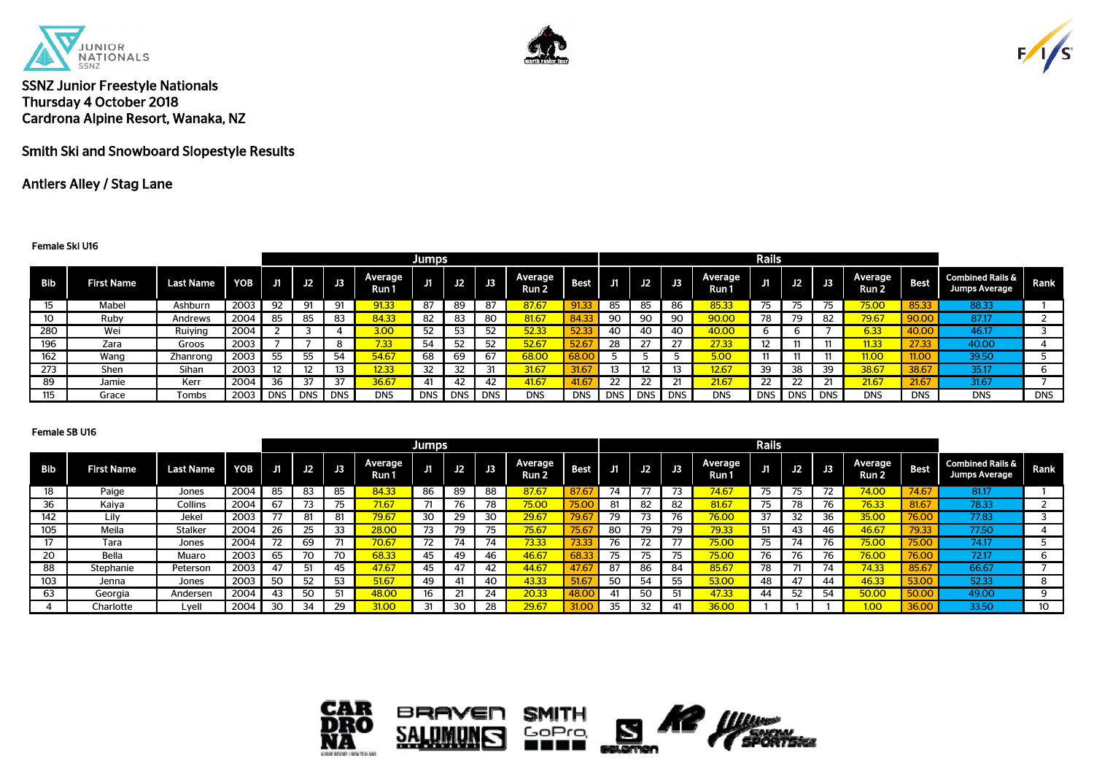





Smith Ski and Snowboard Slopestyle Results

## Antlers Alley / Stag Lane

#### Female Ski U16

|            |                   |                  |            |         |    |            |                   | <b>Jumps</b> |            |            |                  |             |            |            |                 |                  | <b>Rails</b>    |     |            |                   |             |                                                     |            |
|------------|-------------------|------------------|------------|---------|----|------------|-------------------|--------------|------------|------------|------------------|-------------|------------|------------|-----------------|------------------|-----------------|-----|------------|-------------------|-------------|-----------------------------------------------------|------------|
| <b>Bib</b> | <b>First Name</b> | <b>Last Name</b> | <b>YOB</b> | J1      | J2 | J3         | Average<br>Run 1  | IJ           | J2         | J3         | Average<br>Run 2 | <b>Best</b> | Æ          | <b>J2</b>  | $\overline{13}$ | Average<br>Run 1 | J1              | J2  | JЗ         | Average<br>Run 2  | <b>Best</b> | <b>Combined Rails &amp;</b><br><b>Jumps Average</b> | Rank       |
| 15         | Mabel             | Ashburn          | 2003       | 92      | 91 | 91         | 91.33             | 87           | 89         | 87         | 87.67            | 91.33       | 85         | 85         | 86              | 85.33            | 75              |     |            | 75.00             | 85.33       | 88.33                                               |            |
| 10         | Ruby              | Andrews          | 2004       | 85      | 85 | 83         | 84.33             | 82           | 83         | 80         | 81.67            | 84.3        | 90         | 90         | 90              | 90.00            | 78              |     | 82         | 79.67             | 90.00       | 87.17                                               |            |
| 280        | Wei               | Ruiying          | 2004       |         |    |            | 3.00              | 52           | 53         |            | 52.33            | 52.33       | 40         | 40         | 40              | 40.00            | ь               |     |            | 6.33              | 40.00       | 46.17                                               |            |
| 196        | Zara              | Groos            | 2003       |         |    |            | 7.33 <sup>°</sup> | 54           | 52         | 52         | 52.67            | 52.67       | 28         |            |                 | 27.33            | 12 <sup>°</sup> | 11  | 11         | 1.33 <sub>1</sub> | 27.33       | 40.00                                               |            |
| 162        | Wang              | Zhanrong         | 2003       | 55      | 55 | 51         | 54.67             | 68           | 69         | 67         | 68.00            |             |            |            |                 | 5.00             | 11              | -11 | 11         | 11.00             | 11.00       | 39.50                                               |            |
| 273        | Shen              | Sihan            | 2003       |         |    |            | 12.33             |              |            | 31         | 31.67            | 31.67       |            |            |                 | 12.67            | 39              | 38  |            | 38.67             | 38.67       | 35.17                                               | 6          |
| 89         | Jamie             | Kerr             | 2004       | 36      | 37 | 37         | 36.67             | 41           | 42         | 42         | 41.67            | 41.67       | 22         | 22         |                 | 21.67            | 22              | 22  |            | 21.67             | 21.67       | 31.67                                               |            |
| 115        | Grace             | Tombs            | 2003       | DNS DNS |    | <b>DNS</b> | <b>DNS</b>        | <b>DNS</b>   | <b>DNS</b> | <b>DNS</b> | <b>DNS</b>       | <b>DNS</b>  | <b>DNS</b> | <b>DNS</b> | <b>DNS</b>      | <b>DNS</b>       | <b>DNS</b>      | DNS | <b>DNS</b> | <b>DNS</b>        | <b>DNS</b>  | <b>DNS</b>                                          | <b>DNS</b> |

| Jumps      |                   |                  |            |    |     |    |                  |    |    |    |                             |              |     |     |    |                  | Rails     |    |                             |                             |             |                                              |          |
|------------|-------------------|------------------|------------|----|-----|----|------------------|----|----|----|-----------------------------|--------------|-----|-----|----|------------------|-----------|----|-----------------------------|-----------------------------|-------------|----------------------------------------------|----------|
| <b>Bib</b> | <b>First Name</b> | <b>Last Name</b> | <b>YOB</b> | J1 | J2. | J3 | Average<br>Run 1 | ш  | J2 | JЗ | Average<br>Run <sub>2</sub> | <b>Best</b>  | J1. | J2. | J3 | Average<br>Run 1 | ЛT        | J2 | $\overline{\phantom{a}}$ J3 | Average<br>Run <sub>2</sub> | <b>Best</b> | <b>Combined Rails &amp;</b><br>Jumps Average | Rank     |
| 18         | Paige             | Jones            | 2004       | 85 | 83  | 85 | 84.33            | 86 | 89 | 88 | 87.67                       | 87.67        | 74  | 77  | רד | 74.67            | 75        | 75 |                             | 74.00                       | 74.67       | 81.17                                        |          |
| 36         | Kaiva             | Collins          | 2004       | 67 | 73  | 75 | 71.67            |    | 76 | 78 | 75.00                       | 75.00        | 81  | 82  | 82 | 81.67            | 75        | 78 |                             | 76.33                       | 81.67       | 78.33                                        |          |
| 142        | Lilv              | Jekel            | 2003       |    | 81  | 81 | 79.67            | 30 | 29 | 30 | 29.67                       | 79.67        | 79  |     | 76 | 76.00            |           |    |                             | 35.00                       | 76.00       | 77.83                                        |          |
| 105        | Meila             | Stalker          | 2004       | 26 | 25  | 33 | 28.00            |    | 79 | 75 | 75.67                       | 75.67        | 80  | 79  | 79 | 79.33            | 51        | 43 | 46                          | 46.67                       | 79.33       | 77.50                                        |          |
|            | Tara              | Jones            | 2004       | 72 | 69  | 71 | 70.67            | 72 | 74 | 74 | 73.33                       | 73.33        | 76  | 72  | 77 | 75.00            | --<br>75. | 74 |                             | 75.00                       | 75.00       | 74.17                                        |          |
| 20         | Bella             | Muaro            | 2003       | 65 |     | 70 | 68.33            | 45 | 49 | 46 | 46.67                       | 68.33        | 75  |     |    | 75.00            | 76        |    |                             | 76.00                       | 76.00       | 72.17                                        |          |
| 88         | Stephanie         | Peterson         | 2003       | 47 | 51  | 45 | 47.67            | 45 | 47 | 42 | 44.67                       | 47.67        | 87  | 86  | 84 | 85.67            | 78        |    | 74                          | 74.33                       | 85.67       | 66.67                                        |          |
| 103        | Jenna             | Jones            | 2003       | 50 | 52  | 53 | 51.67            | 49 | 41 | 40 | 43.33                       | 51.67        | 50  | 54  | 55 | 53.00            | 48        | 47 |                             | 46.33                       | 53.00       | 52.33                                        |          |
| 63         | Georgia           | Andersen         | 2004       | 43 | 50  | 51 | 48.00            | 16 |    | 24 | 20.33                       | <b>48.00</b> | 41  | 50  |    | 17.33            | 44        | 52 | 54                          | 50.00                       | 50.00       | 49.00                                        | $\Omega$ |
|            | Charlotte         | Lvell            | 2004       | 30 | 34  | 29 | 31.00            | 31 | 30 | 28 | 29.67                       | 31.00        | 35  | 32  |    | 36.00            |           |    |                             | 1.00                        | 36.00       | 33.50                                        | 10       |

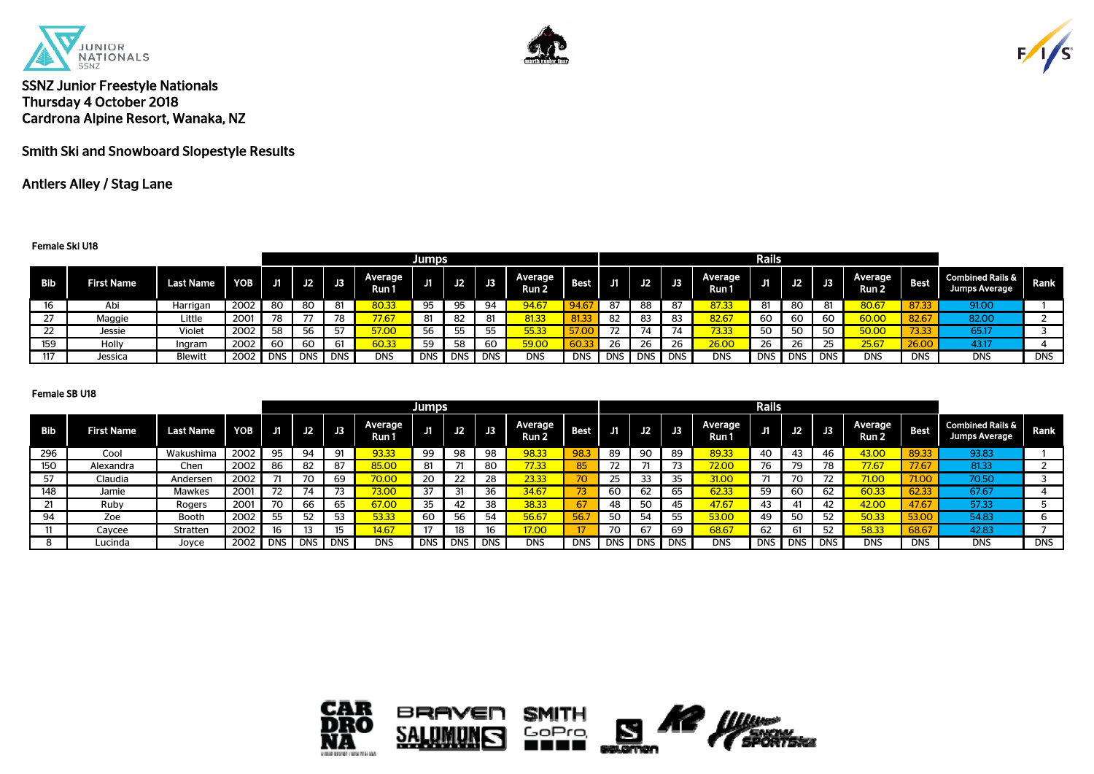





Smith Ski and Snowboard Slopestyle Results

## Antlers Alley / Stag Lane

#### Female Ski U18

| Rails<br><b>Jumps</b> |                   |                  |                  |       |            |            |                         |            |            |     |                   |             |            |     |           |                  |     |            |             |                  |             |                                                     |             |
|-----------------------|-------------------|------------------|------------------|-------|------------|------------|-------------------------|------------|------------|-----|-------------------|-------------|------------|-----|-----------|------------------|-----|------------|-------------|------------------|-------------|-----------------------------------------------------|-------------|
| <b>Bib</b>            | <b>First Name</b> | <b>Last Name</b> | YOB <sub>I</sub> | J1    | J2         | J3.        | <b>Average</b><br>Run 1 | .          | J2         | JB. | Average<br>Run 2. | <b>Best</b> | / 51 M     |     | $J2$ $J3$ | Average<br>Run 1 |     | J2         | $\sqrt{13}$ | Average<br>Run 2 | <b>Best</b> | <b>Combined Rails &amp;</b><br><b>Jumps Average</b> | <b>Rank</b> |
| 16                    | Abi               | Harrigan         | 2002             | 80    | 80         | 81         | 80.33                   | 95         | 95         | 94  | 94.67             | 94.67       | 87         | 88  | 87        | 37.33            | 81  | 80         |             | 80.67            | 87.33       | 91.00                                               |             |
| つつ<br>$\epsilon$      | Maggie            | Little           | 200              | 78    |            | 78         | 77.67                   | 81         | 82         |     | 81.33             | 81.33       | 82         | 83  | ດາ<br>83  | 82.67            | 60  | 60         | 60          | 60.00            | 82.67       | 82.00                                               | <u>_</u>    |
| 22                    | Jessie            | Violet           | 2002             | 58    | 56         | -57        | 57.00                   | 56         | 55         | 55  | 55.33             |             | 72         | 74  | 74        | 73.33            | 50  | 50         |             | 50.00            | 73.33       | 65.17                                               |             |
| 159                   | Holly             | Ingram           | 2002             | 60    | 60         | 61         | 60.33                   | 59         | 58         | 60  | 59.00             | 60.3.       | 26         | -26 | 26        | <b>26.00</b>     | 26  | 26         |             | 25.67            | 26.0        | 43.17                                               |             |
| 117                   | Jessica           | <b>Blewitt</b>   | 2002             | DNS I | <b>DNS</b> | <b>DNS</b> | <b>DNS</b>              | <b>DNS</b> | <b>DNS</b> | DNS | <b>DNS</b>        | <b>DNS</b>  | <b>DNS</b> |     | DNS DNS   | <b>DNS</b>       | DNS | <b>DNS</b> | <b>DNS</b>  | <b>DNS</b>       | <b>DNS</b>  | <b>DNS</b>                                          | <b>DNS</b>  |

|     |                   |                  |            |     |           |            |                  | <b>Jumps</b> |            |            |                  |             |            |            |            |                  | Rails      |            |                 |                             |             |                                                     |            |
|-----|-------------------|------------------|------------|-----|-----------|------------|------------------|--------------|------------|------------|------------------|-------------|------------|------------|------------|------------------|------------|------------|-----------------|-----------------------------|-------------|-----------------------------------------------------|------------|
| Bib | <b>First Name</b> | <b>Last Name</b> | <b>YOB</b> |     | $J1$ $J2$ | J3         | Average<br>Run 1 |              | J2         |            | Average<br>Run 2 | <b>Best</b> |            | J2         | J3         | Average<br>Run 1 |            | J2         | $\overline{13}$ | Average<br>Run <sub>2</sub> | <b>Best</b> | <b>Combined Rails &amp;</b><br><b>Jumps Average</b> | Rank       |
| 296 | Cool              | Wakushima        | 2002       | 95  | QΛ        | 91         | 93.33            | 99           | 98         | 98         | 98.33            | 98.3        | 89         | 90         | 89         | 89.33            | 40         | 43         |                 | 43.00                       | 89.33       | 93.83                                               |            |
| 150 | Alexandra         | Chen             | 2002       | 86  | 82        | 87         | 85.00            | -81          |            | 80         | 77.33            | 85          | 72         |            |            | 72.00            | 76         | 79         | 78              | 77.67                       | 77.67       | 81.33                                               |            |
| 57  | Claudia           | Andersen         | 2002       |     |           | 69         | 70.00            |              |            | 28         | 23.33            | 70.         | 25         | 33         |            | 31.00            |            | 70         |                 | 71.00                       | 71.00       | 70.50                                               |            |
| 148 | Jamie             | <b>Mawkes</b>    | 2001       | רד  |           | 72         | 73.00            | 37           | 31         | 36         | 34.67            | 73          | 60         | 62         | 65         | 62.33            | 59         | 60         | 62              | 60.33                       | 62.33       | 67.67                                               |            |
|     | Ruby              | Rogers           | 2001       |     | 66        | 65         | 67.00            | 35           |            | 38         | 38.33            |             | 48         | 50         |            | 47.67            | 43         |            | -42             | 42.00                       | 47.67       | 57.33                                               |            |
| 94  | Zoe               | <b>Booth</b>     | 2002       | 55  | 52        | 53         | 53.33            | 60           | 56         | 54         | 56.67            | 56.7        | 50         | 54         |            | 53.00            | 49         | 50         | 52              | 50.33                       | 53.00       | 54.83                                               |            |
| 11  | Caycee            | Stratten         | 2002       |     |           | 15         | 14.67            |              | 18         | 16         | 17.00            |             | 70         | 67         | 69         | 68.67            | 62         |            | 52              | 58.33                       | 68.67       | 42.83                                               |            |
|     | Lucinda           | Joyce            | 2002       | DNS | `IDNS.    | <b>DNS</b> | <b>DNS</b>       | <b>DNS</b>   | <b>DNS</b> | <b>DNS</b> | <b>DNS</b>       | <b>DNS</b>  | <b>DNS</b> | <b>DNS</b> | <b>DNS</b> | <b>DNS</b>       | <b>DNS</b> | <b>DNS</b> | <b>DNS</b>      | <b>DNS</b>                  | <b>DNS</b>  | <b>DNS</b>                                          | <b>DNS</b> |

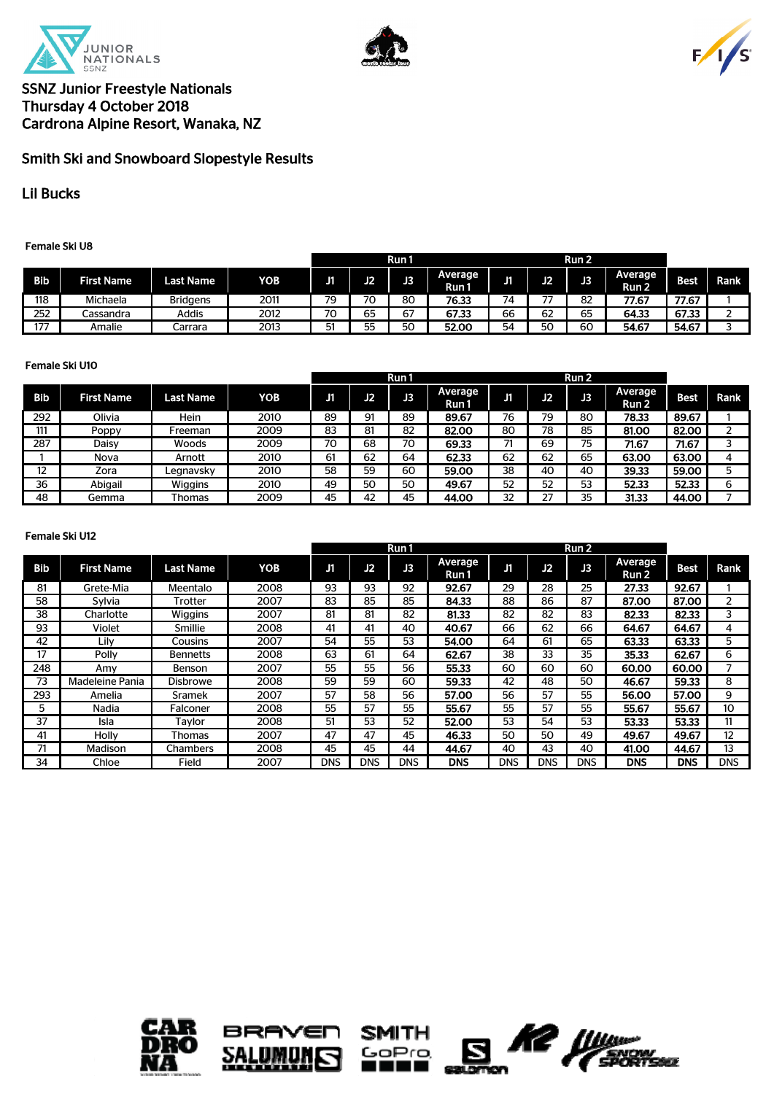





# Smith Ski and Snowboard Slopestyle Results

Lil Bucks

### Female Ski U8

|     |                   |                 |                  |     |          | Run 1    |                         |    |    | Run 2 |                  |       |             |
|-----|-------------------|-----------------|------------------|-----|----------|----------|-------------------------|----|----|-------|------------------|-------|-------------|
| Bib | <b>First Name</b> | Last Name       | YOB <sup>1</sup> | . . | n<br>. . | JЗ       | <b>Average</b><br>Run 1 | т. | J2 | J3    | Average<br>Run 2 | Best  | <b>Rank</b> |
| 118 | Michaela          | <b>Bridgens</b> | 2011             | 79  | 70       | 80       | 76.33                   | 74 | -- | 82    | 77.67            | 77.67 |             |
| 252 | Cassandra         | <b>Addis</b>    | 2012             | 70  | --<br>65 | ~-<br>67 | 67.33                   | 66 | 62 | 65    | 64.33            | 67.33 |             |
| 177 | Amalie            | Carrara         | 2013             | 51  | ᅜ<br>JJ  | 50       | 52.00                   | 54 | 50 | 60    | 54.67            | 54.67 |             |

### Female Ski U10

|     |                   |                  |      |    |    | Run1 |                  |    |    | Run 2 |                             |       |      |
|-----|-------------------|------------------|------|----|----|------|------------------|----|----|-------|-----------------------------|-------|------|
| Bib | <b>First Name</b> | <b>Last Name</b> | YOB  | ЛΓ | J2 | J3   | Average<br>Run 1 | J1 | J2 | J3    | Average<br>Run <sub>2</sub> | Best  | Rank |
| 292 | Olivia            | Hein             | 2010 | 89 | 91 | 89   | 89.67            | 76 | 79 | 80    | 78.33                       | 89.67 |      |
| 111 | Poppy             | Freeman          | 2009 | 83 | 81 | 82   | 82.00            | 80 | 78 | 85    | 81.00                       | 82.00 |      |
| 287 | Daisy             | Woods            | 2009 | 70 | 68 | 70   | 69.33            |    | 69 | 75    | 71.67                       | 71.67 |      |
|     | Nova              | Arnott           | 2010 | 61 | 62 | 64   | 62.33            | 62 | 62 | 65    | 63.00                       | 63.00 |      |
| 12  | Zora              | Leanavskv        | 2010 | 58 | 59 | 60   | 59.00            | 38 | 40 | 40    | 39.33                       | 59.00 |      |
| 36  | Abigail           | Wiggins          | 2010 | 49 | 50 | 50   | 49.67            | 52 | 52 | 53    | 52.33                       | 52.33 | 6    |
| 48  | Gemma             | Thomas           | 2009 | 45 | 42 | 45   | 44.00            | 32 | 27 | 35    | 31.33                       | 44.00 |      |

### Female Ski U12

|            |                   |                  |      |     |            | Run1       |                  |            |            | Run 2      |                  |             |      |
|------------|-------------------|------------------|------|-----|------------|------------|------------------|------------|------------|------------|------------------|-------------|------|
| <b>Bib</b> | <b>First Name</b> | <b>Last Name</b> | YOB  | J1  | J2         | J3         | Average<br>Run 1 | J1         | J2         | B          | Average<br>Run 2 | <b>Best</b> | Rank |
| 81         | Grete-Mia         | Meentalo         | 2008 | 93  | 93         | 92         | 92.67            | 29         | 28         | 25         | 27.33            | 92.67       |      |
| 58         | Sylvia            | Trotter          | 2007 | 83  | 85         | 85         | 84.33            | 88         | 86         | 87         | 87.00            | 87.00       | 2    |
| 38         | Charlotte         | <b>Wiggins</b>   | 2007 | 81  | 81         | 82         | 81.33            | 82         | 82         | 83         | 82.33            | 82.33       | 3    |
| 93         | Violet            | Smillie          | 2008 | 41  | 41         | 40         | 40.67            | 66         | 62         | 66         | 64.67            | 64.67       | 4    |
| 42         | Lilv              | Cousins          | 2007 | 54  | 55         | 53         | 54.00            | 64         | 61         | 65         | 63.33            | 63.33       | 5    |
| 17         | Polly             | <b>Bennetts</b>  | 2008 | 63  | 61         | 64         | 62.67            | 38         | 33         | 35         | 35.33            | 62.67       | 6    |
| 248        | Amv               | Benson           | 2007 | 55  | 55         | 56         | 55.33            | 60         | 60         | 60         | 60.00            | 60.00       |      |
| 73         | Madeleine Pania   | <b>Disbrowe</b>  | 2008 | 59  | 59         | 60         | 59.33            | 42         | 48         | 50         | 46.67            | 59.33       | 8    |
| 293        | Amelia            | <b>Sramek</b>    | 2007 | 57  | 58         | 56         | 57.00            | 56         | 57         | 55         | 56.00            | 57.00       | 9    |
| 5          | Nadia             | Falconer         | 2008 | 55  | 57         | 55         | 55.67            | 55         | 57         | 55         | 55.67            | 55.67       | 10   |
| 37         | Isla              | Taylor           | 2008 | 51  | 53         | 52         | 52.00            | 53         | 54         | 53         | 53.33            | 53.33       | 11   |
| 41         | Holly             | <b>Thomas</b>    | 2007 | 47  | 47         | 45         | 46.33            | 50         | 50         | 49         | 49.67            | 49.67       | 12   |
| 71         | Madison           | <b>Chambers</b>  | 2008 | 45  | 45         | 44         | 44.67            | 40         | 43         | 40         | 41.00            | 44.67       | 13   |
| 34         | Chloe             | Field            | 2007 | DNS | <b>DNS</b> | <b>DNS</b> | <b>DNS</b>       | <b>DNS</b> | <b>DNS</b> | <b>DNS</b> | <b>DNS</b>       | <b>DNS</b>  | DNS  |







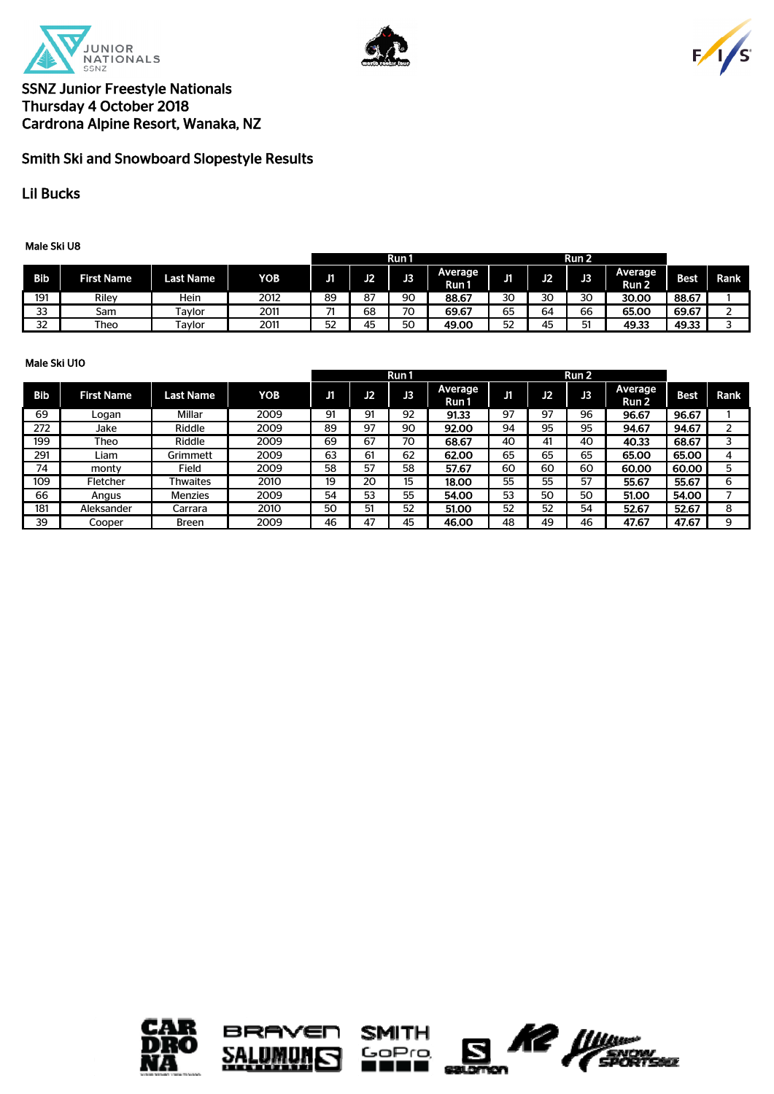





# Smith Ski and Snowboard Slopestyle Results

## Lil Bucks

Male Ski U8

|            |                   |           |      |    |                    | Run 1 |                  |    |    | Run <sub>2</sub> |                         |             |      |
|------------|-------------------|-----------|------|----|--------------------|-------|------------------|----|----|------------------|-------------------------|-------------|------|
| <b>Bib</b> | <b>First Name</b> | Last Name | YOB. | JI | ъ<br>$\cdot$ . $-$ | JЗ    | Average<br>Run 1 | u  | J2 | J3               | <b>Average</b><br>Run 2 | <b>Best</b> | Rank |
| 191        | Riley             | Hein      | 2012 | 89 | 87                 | 90    | 88.67            | 30 | 30 | 30               | 30.00                   | 88.67       |      |
| ລລ<br>၁၁   | Sam               | Tavlor    | 2011 | -  | 68                 | 70    | 69.67            | 65 | 64 | 66               | 65.00                   | 69.67       |      |
| 32         | Theo              | Tavlor    | 2011 | 52 | 45                 | 50    | 49.00            | 52 | 45 | 51               | 49.33                   | 49.33       |      |

### Male Ski U10

|            |                   |                  |      |    |    | Run 1 |                  |    | Run <sub>2</sub> |    |                  |       |      |
|------------|-------------------|------------------|------|----|----|-------|------------------|----|------------------|----|------------------|-------|------|
| <b>Bib</b> | <b>First Name</b> | <b>Last Name</b> | YOB  | ЛI | J2 | J3    | Average<br>Run 1 | J1 | J2               | J3 | Average<br>Run 2 | Best. | Rank |
| 69         | Logan             | Millar           | 2009 | 91 | 91 | 92    | 91.33            | 97 | 97               | 96 | 96.67            | 96.67 |      |
| 272        | Jake              | Riddle           | 2009 | 89 | 97 | 90    | 92.00            | 94 | 95               | 95 | 94.67            | 94.67 |      |
| 199        | Theo              | Riddle           | 2009 | 69 | 67 | 70    | 68.67            | 40 | 41               | 40 | 40.33            | 68.67 |      |
| 291        | Liam              | Grimmett         | 2009 | 63 | 61 | 62    | 62.00            | 65 | 65               | 65 | 65.00            | 65.00 | 4    |
| 74         | monty             | Field            | 2009 | 58 | 57 | 58    | 57.67            | 60 | 60               | 60 | 60.00            | 60.00 | 5.   |
| 109        | Fletcher          | <b>Thwaites</b>  | 2010 | 19 | 20 | 15    | 18.00            | 55 | 55               | 57 | 55.67            | 55.67 | 6    |
| 66         | Angus             | Menzies          | 2009 | 54 | 53 | 55    | 54.00            | 53 | 50               | 50 | 51.00            | 54.00 |      |
| 181        | Aleksander        | Carrara          | 2010 | 50 | 51 | 52    | 51.00            | 52 | 52               | 54 | 52.67            | 52.67 | 8    |
| 39         | Cooper            | <b>Breen</b>     | 2009 | 46 | 47 | 45    | 46.00            | 48 | 49               | 46 | 47.67            | 47.67 | q    |

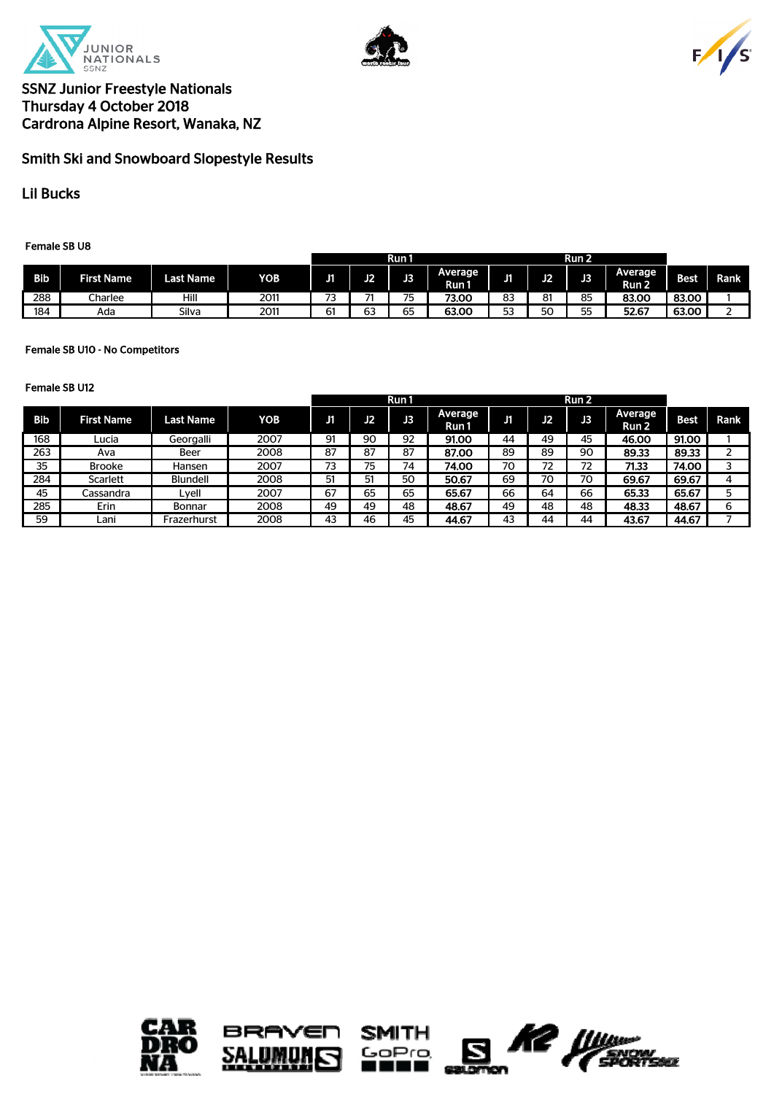





# Smith Ski and Snowboard Slopestyle Results

Lil Bucks

Female SB U8

|            |                   |           |      |         | Run 1        |           |                   |                 |        | Run 2    |                         |       |      |  |
|------------|-------------------|-----------|------|---------|--------------|-----------|-------------------|-----------------|--------|----------|-------------------------|-------|------|--|
| <b>Bib</b> | <b>First Name</b> | Last Name | YOB  | . .     | ъ.           | о<br>.    | 'Average<br>Run I | . .<br>. .      | ю<br>u | ъ<br>دد  | <b>Average</b><br>Run 2 | Best  | Rank |  |
| 288        | Charlee           | Hill      | 2011 | --<br>ັ | --           | --<br>ີ   | 73.00             | ດ<br>၀၁         | 81     | 85       | 83.00                   | 83.00 |      |  |
| 184        | Ada               | Silva     | 2011 | ~<br>ь. | $\sim$<br>63 | $-$<br>ხ5 | 63.00             | <b>CO</b><br>JJ | 50     | --<br>לכ | 52.67                   | 63.00 |      |  |

### Female SB U10 - No Competitors

|     |                   |                  |      |    |    | Run 1 |                  |    |    | Run 2 |                  |       |      |
|-----|-------------------|------------------|------|----|----|-------|------------------|----|----|-------|------------------|-------|------|
| Bib | <b>First Name</b> | <b>Last Name</b> | YOB  | ЛI | J2 | JЗ    | Average<br>Run 1 | J1 | J2 | J3    | Average<br>Run 2 | Best  | Rank |
| 168 | Lucia             | Georgalli        | 2007 | 91 | 90 | 92    | 91.00            | 44 | 49 | 45    | 46.00            | 91.00 |      |
| 263 | Ava               | Beer             | 2008 | 87 | 87 | 87    | 87.00            | 89 | 89 | 90    | 89.33            | 89.33 |      |
| 35  | <b>Brooke</b>     | Hansen           | 2007 | 73 | 75 | 74    | 74.00            | 70 | 72 | 72    | 71.33            | 74.00 |      |
| 284 | <b>Scarlett</b>   | <b>Blundell</b>  | 2008 | 51 | 51 | 50    | 50.67            | 69 | 70 | 70    | 69.67            | 69.67 |      |
| 45  | Cassandra         | Lyell            | 2007 | 67 | 65 | 65    | 65.67            | 66 | 64 | 66    | 65.33            | 65.67 |      |
| 285 | Erin              | <b>Bonnar</b>    | 2008 | 49 | 49 | 48    | 48.67            | 49 | 48 | 48    | 48.33            | 48.67 |      |
| 59  | Lani              | Frazerhurst      | 2008 | 43 | 46 | 45    | 44.67            | 43 | 44 | 44    | 43.67            | 44.67 |      |